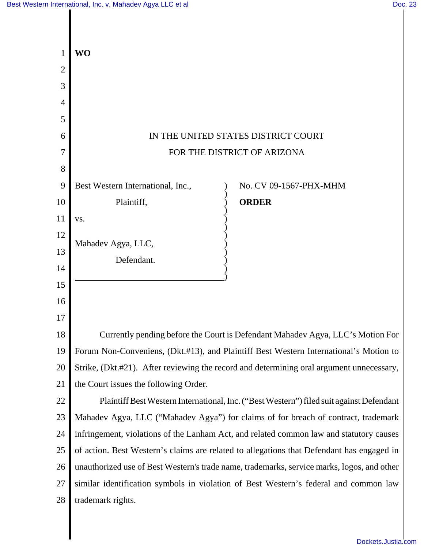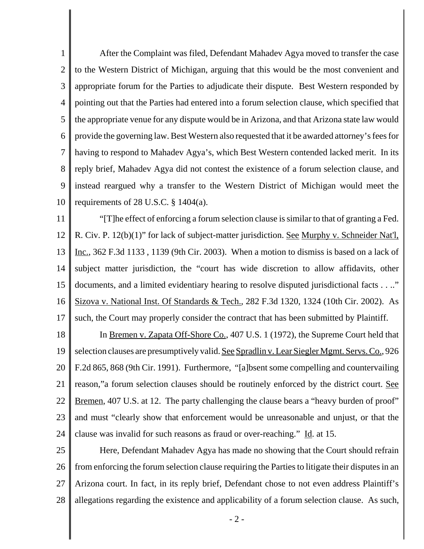1 2 3 4 5 6 7 8 9 10 After the Complaint was filed, Defendant Mahadev Agya moved to transfer the case to the Western District of Michigan, arguing that this would be the most convenient and appropriate forum for the Parties to adjudicate their dispute. Best Western responded by pointing out that the Parties had entered into a forum selection clause, which specified that the appropriate venue for any dispute would be in Arizona, and that Arizona state law would provide the governing law. Best Western also requested that it be awarded attorney's fees for having to respond to Mahadev Agya's, which Best Western contended lacked merit. In its reply brief, Mahadev Agya did not contest the existence of a forum selection clause, and instead reargued why a transfer to the Western District of Michigan would meet the requirements of 28 U.S.C.  $\S$  1404(a).

11 12 13 14 15 16 17 "[T]he effect of enforcing a forum selection clause is similar to that of granting a Fed. R. Civ. P. 12(b)(1)" for lack of subject-matter jurisdiction. See Murphy v. Schneider Nat'l, Inc., 362 F.3d 1133 , 1139 (9th Cir. 2003). When a motion to dismiss is based on a lack of subject matter jurisdiction, the "court has wide discretion to allow affidavits, other documents, and a limited evidentiary hearing to resolve disputed jurisdictional facts . . .." Sizova v. National Inst. Of Standards & Tech., 282 F.3d 1320, 1324 (10th Cir. 2002). As such, the Court may properly consider the contract that has been submitted by Plaintiff.

18 19 20 21 22 23 24 In Bremen v. Zapata Off-Shore Co., 407 U.S. 1 (1972), the Supreme Court held that selection clauses are presumptively valid. See Spradlin v. Lear Siegler Mgmt. Servs. Co., 926 F.2d 865, 868 (9th Cir. 1991). Furthermore, "[a]bsent some compelling and countervailing reason," a forum selection clauses should be routinely enforced by the district court. See Bremen, 407 U.S. at 12. The party challenging the clause bears a "heavy burden of proof" and must "clearly show that enforcement would be unreasonable and unjust, or that the clause was invalid for such reasons as fraud or over-reaching."  $\underline{Id}$ . at 15.

25 26 27 28 Here, Defendant Mahadev Agya has made no showing that the Court should refrain from enforcing the forum selection clause requiring the Parties to litigate their disputes in an Arizona court. In fact, in its reply brief, Defendant chose to not even address Plaintiff's allegations regarding the existence and applicability of a forum selection clause. As such,